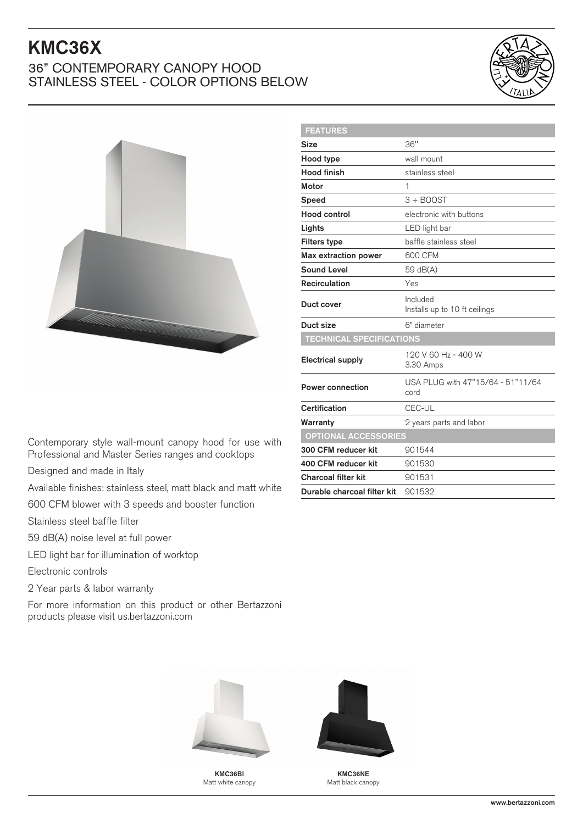## KMC36X

## 36" CONTEMPORARY CANOPY HOOD STAINLESS STEEL - COLOR OPTIONS BELOW





| <b>FEATURES</b>                 |                                           |
|---------------------------------|-------------------------------------------|
| <b>Size</b>                     | 36"                                       |
| Hood type                       | wall mount                                |
| <b>Hood finish</b>              | stainless steel                           |
| <b>Motor</b>                    | 1                                         |
| <b>Speed</b>                    | $3 +$ BOOST                               |
| <b>Hood control</b>             | electronic with buttons                   |
| Lights                          | LED light bar                             |
| <b>Filters type</b>             | baffle stainless steel                    |
| <b>Max extraction power</b>     | 600 CFM                                   |
| <b>Sound Level</b>              | 59 dB(A)                                  |
| <b>Recirculation</b>            | Yes                                       |
| Duct cover                      | Included<br>Installs up to 10 ft ceilings |
| Duct size                       | 6" diameter                               |
| <b>TECHNICAL SPECIFICATIONS</b> |                                           |
| <b>Electrical supply</b>        | 120 V 60 Hz - 400 W<br>3.30 Amps          |
| <b>Power connection</b>         | USA PLUG with 47"15/64 - 51"11/64<br>cord |
| Certification                   | CEC-UL                                    |
| Warranty                        | 2 years parts and labor                   |
| <b>OPTIONAL ACCESSORIES</b>     |                                           |
| 300 CFM reducer kit             | 901544                                    |
| 400 CFM reducer kit             | 901530                                    |
| <b>Charcoal filter kit</b>      | 901531                                    |
| Durable charcoal filter kit     | 901532                                    |
|                                 |                                           |

Contemporary style wall-mount canopy hood for use with Professional and Master Series ranges and cooktops

Designed and made in Italy

Available finishes: stainless steel, matt black and matt white

600 CFM blower with 3 speeds and booster function

Stainless steel baffle filter

59 dB(A) noise level at full power

LED light bar for illumination of worktop

Electronic controls

2 Year parts & labor warranty

For more information on this product or other Bertazzoni products please visit us.bertazzoni.com



KMC36BI Matt white canopy



KMC36NE Matt black canopy